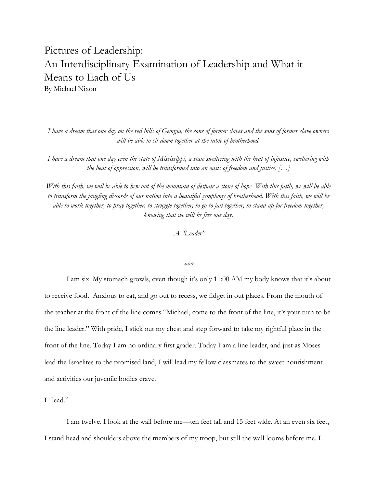# Pictures of Leadership: An Interdisciplinary Examination of Leadership and What it Means to Each of Us

By Michael Nixon

*I have a dream that one day on the red hills of Georgia, the sons of former slaves and the sons of former slave owners will be able to sit down together at the table of brotherhood.*

*I have a dream that one day even the state of Mississippi, a state sweltering with the heat of injustice, sweltering with the heat of oppression, will be transformed into an oasis of freedom and justice. […]*

*With this faith, we will be able to hew out of the mountain of despair a stone of hope. With this faith, we will be able to transform the jangling discords of our nation into a beautiful symphony of brotherhood. With this faith, we will be able to work together, to pray together, to struggle together, to go to jail together, to stand up for freedom together, knowing that we will be free one day.*

*-A "Leader"*

#### *\*\*\**

I am six. My stomach growls, even though it's only 11:00 AM my body knows that it's about to receive food. Anxious to eat, and go out to recess, we fidget in out places. From the mouth of the teacher at the front of the line comes "Michael, come to the front of the line, it's your turn to be the line leader." With pride, I stick out my chest and step forward to take my rightful place in the front of the line. Today I am no ordinary first grader. Today I am a line leader, and just as Moses lead the Israelites to the promised land, I will lead my fellow classmates to the sweet nourishment and activities our juvenile bodies crave.

I "lead."

I am twelve. I look at the wall before me––ten feet tall and 15 feet wide. At an even six feet, I stand head and shoulders above the members of my troop, but still the wall looms before me. I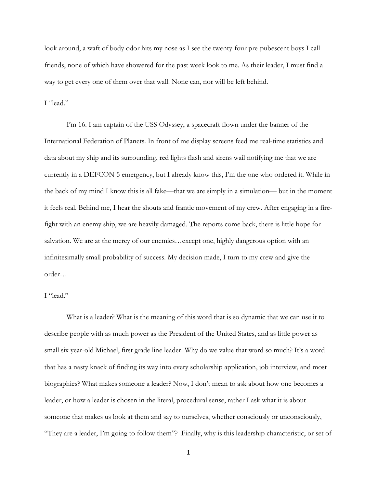look around, a waft of body odor hits my nose as I see the twenty-four pre-pubescent boys I call friends, none of which have showered for the past week look to me. As their leader, I must find a way to get every one of them over that wall. None can, nor will be left behind.

### I "lead."

I'm 16. I am captain of the USS Odyssey, a spacecraft flown under the banner of the International Federation of Planets. In front of me display screens feed me real-time statistics and data about my ship and its surrounding, red lights flash and sirens wail notifying me that we are currently in a DEFCON 5 emergency, but I already know this, I'm the one who ordered it. While in the back of my mind I know this is all fake––that we are simply in a simulation–– but in the moment it feels real. Behind me, I hear the shouts and frantic movement of my crew. After engaging in a firefight with an enemy ship, we are heavily damaged. The reports come back, there is little hope for salvation. We are at the mercy of our enemies…except one, highly dangerous option with an infinitesimally small probability of success. My decision made, I turn to my crew and give the order…

## I "lead."

What is a leader? What is the meaning of this word that is so dynamic that we can use it to describe people with as much power as the President of the United States, and as little power as small six year-old Michael, first grade line leader. Why do we value that word so much? It's a word that has a nasty knack of finding its way into every scholarship application, job interview, and most biographies? What makes someone a leader? Now, I don't mean to ask about how one becomes a leader, or how a leader is chosen in the literal, procedural sense, rather I ask what it is about someone that makes us look at them and say to ourselves, whether consciously or unconsciously, "They are a leader, I'm going to follow them"? Finally, why is this leadership characteristic, or set of

1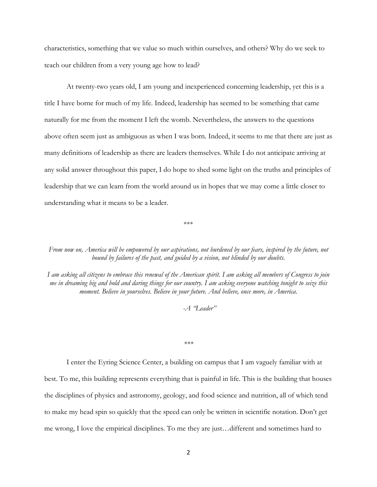characteristics, something that we value so much within ourselves, and others? Why do we seek to teach our children from a very young age how to lead?

At twenty-two years old, I am young and inexperienced concerning leadership, yet this is a title I have borne for much of my life. Indeed, leadership has seemed to be something that came naturally for me from the moment I left the womb. Nevertheless, the answers to the questions above often seem just as ambiguous as when I was born. Indeed, it seems to me that there are just as many definitions of leadership as there are leaders themselves. While I do not anticipate arriving at any solid answer throughout this paper, I do hope to shed some light on the truths and principles of leadership that we can learn from the world around us in hopes that we may come a little closer to understanding what it means to be a leader.

\*\*\*

*From now on, America will be empowered by our aspirations, not burdened by our fears, inspired by the future, not bound by failures of the past, and guided by a vision, not blinded by our doubts.*

*I am asking all citizens to embrace this renewal of the American spirit. I am asking all members of Congress to join me in dreaming big and bold and daring things for our country. I am asking everyone watching tonight to seize this moment. Believe in yourselves. Believe in your future. And believe, once more, in America.*

*-A "Leader"*

*\*\*\**

I enter the Eyring Science Center, a building on campus that I am vaguely familiar with at best. To me, this building represents everything that is painful in life. This is the building that houses the disciplines of physics and astronomy, geology, and food science and nutrition, all of which tend to make my head spin so quickly that the speed can only be written in scientific notation. Don't get me wrong, I love the empirical disciplines. To me they are just…different and sometimes hard to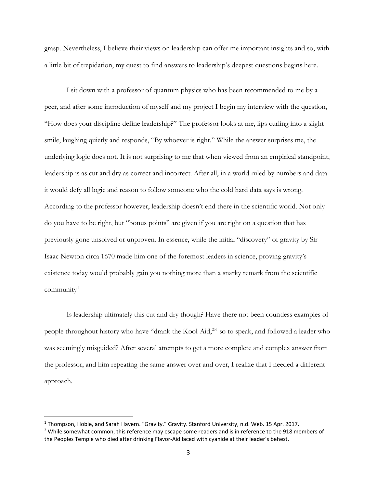grasp. Nevertheless, I believe their views on leadership can offer me important insights and so, with a little bit of trepidation, my quest to find answers to leadership's deepest questions begins here.

I sit down with a professor of quantum physics who has been recommended to me by a peer, and after some introduction of myself and my project I begin my interview with the question, "How does your discipline define leadership?" The professor looks at me, lips curling into a slight smile, laughing quietly and responds, "By whoever is right." While the answer surprises me, the underlying logic does not. It is not surprising to me that when viewed from an empirical standpoint, leadership is as cut and dry as correct and incorrect. After all, in a world ruled by numbers and data it would defy all logic and reason to follow someone who the cold hard data says is wrong. According to the professor however, leadership doesn't end there in the scientific world. Not only do you have to be right, but "bonus points" are given if you are right on a question that has previously gone unsolved or unproven. In essence, while the initial "discovery" of gravity by Sir Isaac Newton circa 1670 made him one of the foremost leaders in science, proving gravity's existence today would probably gain you nothing more than a snarky remark from the scientific  $community<sup>1</sup>$  $community<sup>1</sup>$  $community<sup>1</sup>$ 

Is leadership ultimately this cut and dry though? Have there not been countless examples of people throughout history who have "drank the Kool-Aid,<sup>[2](#page-4-1)</sup>" so to speak, and followed a leader who was seemingly misguided? After several attempts to get a more complete and complex answer from the professor, and him repeating the same answer over and over, I realize that I needed a different approach.

 <sup>1</sup> Thompson, Hobie, and Sarah Havern. "Gravity." Gravity. Stanford University, n.d. Web. 15 Apr. 2017.

<sup>&</sup>lt;sup>2</sup> While somewhat common, this reference may escape some readers and is in reference to the 918 members of the Peoples Temple who died after drinking Flavor-Aid laced with cyanide at their leader's behest.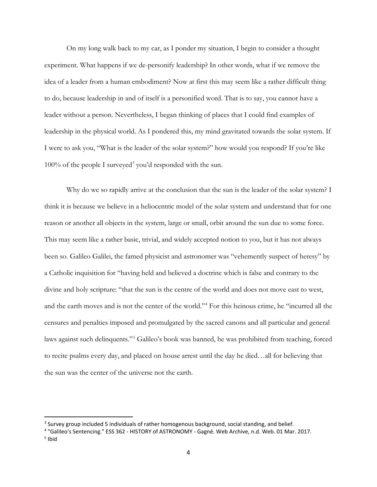On my long walk back to my car, as I ponder my situation, I begin to consider a thought experiment. What happens if we de-personify leadership? In other words, what if we remove the idea of a leader from a human embodiment? Now at first this may seem like a rather difficult thing to do, because leadership in and of itself is a personified word. That is to say, you cannot have a leader without a person. Nevertheless, I began thinking of places that I could find examples of leadership in the physical world. As I pondered this, my mind gravitated towards the solar system. If I were to ask you, "What is the leader of the solar system?" how would you respond? If you're like  $100\%$  of the people I surveyed<sup>[3](#page-5-0)</sup> you'd responded with the sun.

Why do we so rapidly arrive at the conclusion that the sun is the leader of the solar system? I think it is because we believe in a heliocentric model of the solar system and understand that for one reason or another all objects in the system, large or small, orbit around the sun due to some force. This may seem like a rather basic, trivial, and widely accepted notion to you, but it has not always been so. Galileo Galilei, the famed physicist and astronomer was "vehemently suspect of heresy" by a Catholic inquisition for "having held and believed a doctrine which is false and contrary to the divine and holy scripture: "that the sun is the centre of the world and does not move east to west, and the earth moves and is not the center of the world."[4](#page-5-1) For this heinous crime, he "incurred all the censures and penalties imposed and promulgated by the sacred canons and all particular and general laws against such delinquents."[5](#page-5-2) Galileo's book was banned, he was prohibited from teaching, forced to recite psalms every day, and placed on house arrest until the day he died…all for believing that the sun was the center of the universe not the earth.

<span id="page-4-1"></span><span id="page-4-0"></span><sup>&</sup>lt;sup>3</sup> Survey group included 5 individuals of rather homogenous background, social standing, and belief.<br><sup>4</sup> "Galileo's Sentencing." ESS 362 - HISTORY of ASTRONOMY - Gagné. Web Archive, n.d. Web. 01 Mar. 2017.  $<sup>5</sup>$  Ibid</sup>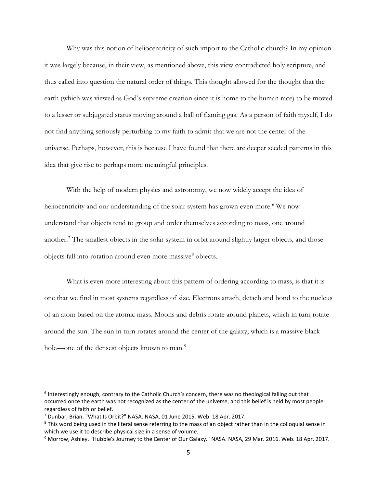Why was this notion of heliocentricity of such import to the Catholic church? In my opinion it was largely because, in their view, as mentioned above, this view contradicted holy scripture, and thus called into question the natural order of things. This thought allowed for the thought that the earth (which was viewed as God's supreme creation since it is home to the human race) to be moved to a lesser or subjugated status moving around a ball of flaming gas. As a person of faith myself, I do not find anything seriously perturbing to my faith to admit that we are not the center of the universe. Perhaps, however, this is because I have found that there are deeper seeded patterns in this idea that give rise to perhaps more meaningful principles.

With the help of modern physics and astronomy, we now widely accept the idea of heliocentricity and our understanding of the solar system has grown even more.<sup>[6](#page-6-0)</sup> We now understand that objects tend to group and order themselves according to mass, one around another.[7](#page-6-1) The smallest objects in the solar system in orbit around slightly larger objects, and those objects fall into rotation around even more massive<sup>[8](#page-6-2)</sup> objects.

What is even more interesting about this pattern of ordering according to mass, is that it is one that we find in most systems regardless of size. Electrons attach, detach and bond to the nucleus of an atom based on the atomic mass. Moons and debris rotate around planets, which in turn rotate around the sun. The sun in turn rotates around the center of the galaxy, which is a massive black hole—one of the densest objects known to man.<sup>[9](#page-7-0)</sup>

 <sup>6</sup> Interestingly enough, contrary to the Catholic Church's concern, there was no theological falling out that occurred once the earth was not recognized as the center of the universe, and this belief is held by most people regardless of faith or belief.

<sup>7</sup> Dunbar, Brian. "What Is Orbit?" NASA. NASA, 01 June 2015. Web. 18 Apr. 2017.

<span id="page-5-1"></span><span id="page-5-0"></span><sup>&</sup>lt;sup>8</sup> This word being used in the literal sense referring to the mass of an object rather than in the colloquial sense in which we use it to describe physical size in a sense of volume.

<span id="page-5-2"></span><sup>9</sup> Morrow, Ashley. "Hubble's Journey to the Center of Our Galaxy." NASA. NASA, 29 Mar. 2016. Web. 18 Apr. 2017.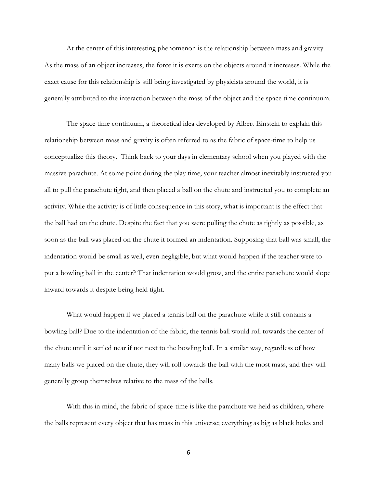At the center of this interesting phenomenon is the relationship between mass and gravity. As the mass of an object increases, the force it is exerts on the objects around it increases. While the exact cause for this relationship is still being investigated by physicists around the world, it is generally attributed to the interaction between the mass of the object and the space time continuum.

The space time continuum, a theoretical idea developed by Albert Einstein to explain this relationship between mass and gravity is often referred to as the fabric of space-time to help us conceptualize this theory. Think back to your days in elementary school when you played with the massive parachute. At some point during the play time, your teacher almost inevitably instructed you all to pull the parachute tight, and then placed a ball on the chute and instructed you to complete an activity. While the activity is of little consequence in this story, what is important is the effect that the ball had on the chute. Despite the fact that you were pulling the chute as tightly as possible, as soon as the ball was placed on the chute it formed an indentation. Supposing that ball was small, the indentation would be small as well, even negligible, but what would happen if the teacher were to put a bowling ball in the center? That indentation would grow, and the entire parachute would slope inward towards it despite being held tight.

What would happen if we placed a tennis ball on the parachute while it still contains a bowling ball? Due to the indentation of the fabric, the tennis ball would roll towards the center of the chute until it settled near if not next to the bowling ball. In a similar way, regardless of how many balls we placed on the chute, they will roll towards the ball with the most mass, and they will generally group themselves relative to the mass of the balls.

<span id="page-6-2"></span><span id="page-6-1"></span><span id="page-6-0"></span>With this in mind, the fabric of space-time is like the parachute we held as children, where the balls represent every object that has mass in this universe; everything as big as black holes and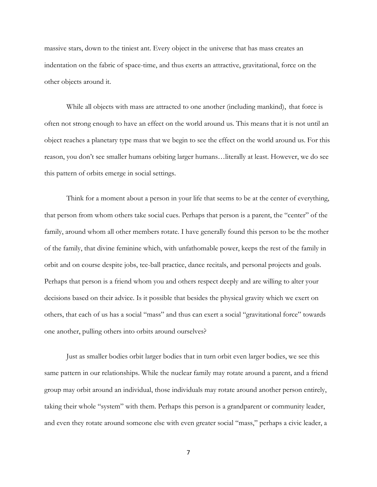massive stars, down to the tiniest ant. Every object in the universe that has mass creates an indentation on the fabric of space-time, and thus exerts an attractive, gravitational, force on the other objects around it.

While all objects with mass are attracted to one another (including mankind), that force is often not strong enough to have an effect on the world around us. This means that it is not until an object reaches a planetary type mass that we begin to see the effect on the world around us. For this reason, you don't see smaller humans orbiting larger humans…literally at least. However, we do see this pattern of orbits emerge in social settings.

Think for a moment about a person in your life that seems to be at the center of everything, that person from whom others take social cues. Perhaps that person is a parent, the "center" of the family, around whom all other members rotate. I have generally found this person to be the mother of the family, that divine feminine which, with unfathomable power, keeps the rest of the family in orbit and on course despite jobs, tee-ball practice, dance recitals, and personal projects and goals. Perhaps that person is a friend whom you and others respect deeply and are willing to alter your decisions based on their advice. Is it possible that besides the physical gravity which we exert on others, that each of us has a social "mass" and thus can exert a social "gravitational force" towards one another, pulling others into orbits around ourselves?

<span id="page-7-0"></span>Just as smaller bodies orbit larger bodies that in turn orbit even larger bodies, we see this same pattern in our relationships. While the nuclear family may rotate around a parent, and a friend group may orbit around an individual, those individuals may rotate around another person entirely, taking their whole "system" with them. Perhaps this person is a grandparent or community leader, and even they rotate around someone else with even greater social "mass," perhaps a civic leader, a

7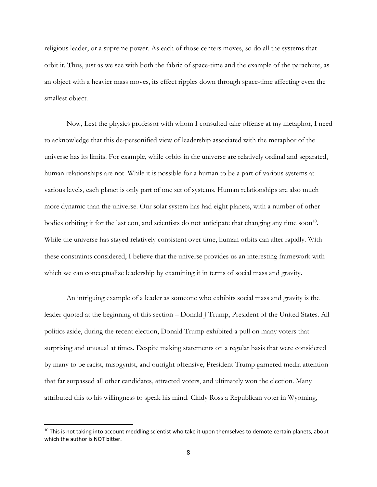religious leader, or a supreme power. As each of those centers moves, so do all the systems that orbit it. Thus, just as we see with both the fabric of space-time and the example of the parachute, as an object with a heavier mass moves, its effect ripples down through space-time affecting even the smallest object.

Now, Lest the physics professor with whom I consulted take offense at my metaphor, I need to acknowledge that this de-personified view of leadership associated with the metaphor of the universe has its limits. For example, while orbits in the universe are relatively ordinal and separated, human relationships are not. While it is possible for a human to be a part of various systems at various levels, each planet is only part of one set of systems. Human relationships are also much more dynamic than the universe. Our solar system has had eight planets, with a number of other bodies orbiting it for the last eon, and scientists do not anticipate that changing any time soon<sup>[10](#page-9-0)</sup>. While the universe has stayed relatively consistent over time, human orbits can alter rapidly. With these constraints considered, I believe that the universe provides us an interesting framework with which we can conceptualize leadership by examining it in terms of social mass and gravity.

An intriguing example of a leader as someone who exhibits social mass and gravity is the leader quoted at the beginning of this section – Donald J Trump, President of the United States. All politics aside, during the recent election, Donald Trump exhibited a pull on many voters that surprising and unusual at times. Despite making statements on a regular basis that were considered by many to be racist, misogynist, and outright offensive, President Trump garnered media attention that far surpassed all other candidates, attracted voters, and ultimately won the election. Many attributed this to his willingness to speak his mind. Cindy Ross a Republican voter in Wyoming,

 $10$  This is not taking into account meddling scientist who take it upon themselves to demote certain planets, about which the author is NOT bitter.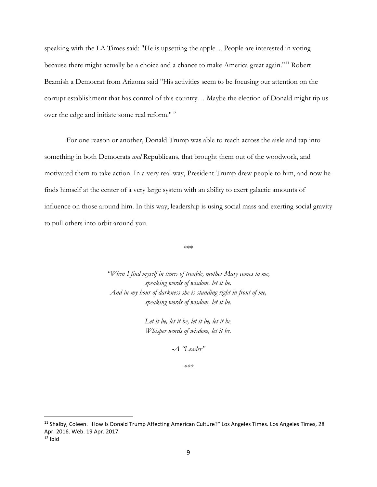speaking with the LA Times said: "He is upsetting the apple ... People are interested in voting because there might actually be a choice and a chance to make America great again."[11](#page-10-0) Robert Beamish a Democrat from Arizona said "His activities seem to be focusing our attention on the corrupt establishment that has control of this country… Maybe the election of Donald might tip us over the edge and initiate some real reform."[12](#page-10-1)

For one reason or another, Donald Trump was able to reach across the aisle and tap into something in both Democrats *and* Republicans, that brought them out of the woodwork, and motivated them to take action. In a very real way, President Trump drew people to him, and now he finds himself at the center of a very large system with an ability to exert galactic amounts of influence on those around him. In this way, leadership is using social mass and exerting social gravity to pull others into orbit around you.

\*\*\*

*"When I find myself in times of trouble, mother Mary comes to me, speaking words of wisdom, let it be. And in my hour of darkness she is standing right in front of me, speaking words of wisdom, let it be.*

> *Let it be, let it be, let it be, let it be. Whisper words of wisdom, let it be.*

> > *-A "Leader"*

*\*\*\**

<span id="page-9-0"></span><sup>&</sup>lt;sup>11</sup> Shalby, Coleen. "How Is Donald Trump Affecting American Culture?" Los Angeles Times. Los Angeles Times, 28 Apr. 2016. Web. 19 Apr. 2017.  $12$  Ibid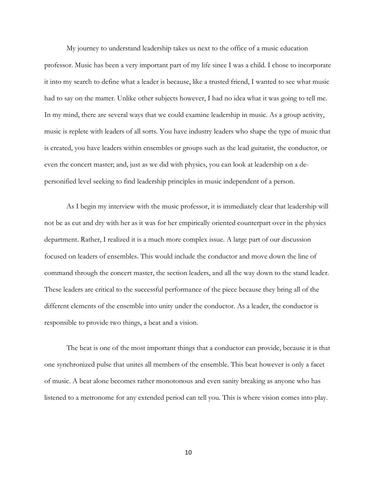My journey to understand leadership takes us next to the office of a music education professor. Music has been a very important part of my life since I was a child. I chose to incorporate it into my search to define what a leader is because, like a trusted friend, I wanted to see what music had to say on the matter. Unlike other subjects however, I had no idea what it was going to tell me. In my mind, there are several ways that we could examine leadership in music. As a group activity, music is replete with leaders of all sorts. You have industry leaders who shape the type of music that is created, you have leaders within ensembles or groups such as the lead guitarist, the conductor, or even the concert master; and, just as we did with physics, you can look at leadership on a depersonified level seeking to find leadership principles in music independent of a person.

As I begin my interview with the music professor, it is immediately clear that leadership will not be as cut and dry with her as it was for her empirically oriented counterpart over in the physics department. Rather, I realized it is a much more complex issue. A large part of our discussion focused on leaders of ensembles. This would include the conductor and move down the line of command through the concert master, the section leaders, and all the way down to the stand leader. These leaders are critical to the successful performance of the piece because they bring all of the different elements of the ensemble into unity under the conductor. As a leader, the conductor is responsible to provide two things, a beat and a vision.

<span id="page-10-1"></span><span id="page-10-0"></span>The beat is one of the most important things that a conductor can provide, because it is that one synchronized pulse that unites all members of the ensemble. This beat however is only a facet of music. A beat alone becomes rather monotonous and even sanity breaking as anyone who has listened to a metronome for any extended period can tell you. This is where vision comes into play.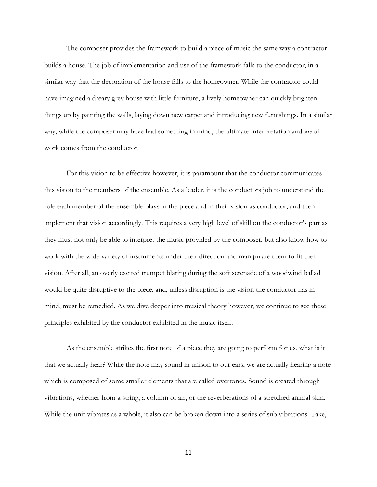The composer provides the framework to build a piece of music the same way a contractor builds a house. The job of implementation and use of the framework falls to the conductor, in a similar way that the decoration of the house falls to the homeowner. While the contractor could have imagined a dreary grey house with little furniture, a lively homeowner can quickly brighten things up by painting the walls, laying down new carpet and introducing new furnishings. In a similar way, while the composer may have had something in mind, the ultimate interpretation and *use* of work comes from the conductor.

For this vision to be effective however, it is paramount that the conductor communicates this vision to the members of the ensemble. As a leader, it is the conductors job to understand the role each member of the ensemble plays in the piece and in their vision as conductor, and then implement that vision accordingly. This requires a very high level of skill on the conductor's part as they must not only be able to interpret the music provided by the composer, but also know how to work with the wide variety of instruments under their direction and manipulate them to fit their vision. After all, an overly excited trumpet blaring during the soft serenade of a woodwind ballad would be quite disruptive to the piece, and, unless disruption is the vision the conductor has in mind, must be remedied. As we dive deeper into musical theory however, we continue to see these principles exhibited by the conductor exhibited in the music itself.

As the ensemble strikes the first note of a piece they are going to perform for us, what is it that we actually hear? While the note may sound in unison to our ears, we are actually hearing a note which is composed of some smaller elements that are called overtones. Sound is created through vibrations, whether from a string, a column of air, or the reverberations of a stretched animal skin. While the unit vibrates as a whole, it also can be broken down into a series of sub vibrations. Take,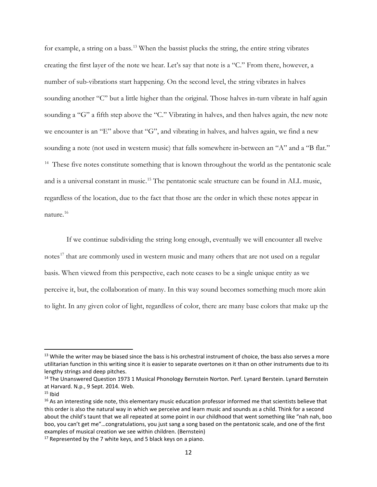for example, a string on a bass.<sup>[13](#page-13-0)</sup> When the bassist plucks the string, the entire string vibrates creating the first layer of the note we hear. Let's say that note is a "C." From there, however, a number of sub-vibrations start happening. On the second level, the string vibrates in halves sounding another "C" but a little higher than the original. Those halves in-turn vibrate in half again sounding a "G" a fifth step above the "C." Vibrating in halves, and then halves again, the new note we encounter is an "E" above that "G", and vibrating in halves, and halves again, we find a new sounding a note (not used in western music) that falls somewhere in-between an "A" and a "B flat."  $14$  These five notes constitute something that is known throughout the world as the pentatonic scale and is a universal constant in music.<sup>[15](#page-13-2)</sup> The pentatonic scale structure can be found in ALL music, regardless of the location, due to the fact that those are the order in which these notes appear in nature.[16](#page-13-3)

If we continue subdividing the string long enough, eventually we will encounter all twelve notes<sup>[17](#page-13-4)</sup> that are commonly used in western music and many others that are not used on a regular basis. When viewed from this perspective, each note ceases to be a single unique entity as we perceive it, but, the collaboration of many. In this way sound becomes something much more akin to light. In any given color of light, regardless of color, there are many base colors that make up the

<sup>&</sup>lt;sup>13</sup> While the writer may be biased since the bass is his orchestral instrument of choice, the bass also serves a more utilitarian function in this writing since it is easier to separate overtones on it than on other instruments due to its lengthy strings and deep pitches.

<sup>&</sup>lt;sup>14</sup> The Unanswered Question 1973 1 Musical Phonology Bernstein Norton. Perf. Lynard Berstein. Lynard Bernstein at Harvard. N.p., 9 Sept. 2014. Web.

 $15$  Ibid

<sup>&</sup>lt;sup>16</sup> As an interesting side note, this elementary music education professor informed me that scientists believe that this order is also the natural way in which we perceive and learn music and sounds as a child. Think for a second about the child's taunt that we all repeated at some point in our childhood that went something like "nah nah, boo boo, you can't get me"…congratulations, you just sang a song based on the pentatonic scale, and one of the first examples of musical creation we see within children. (Bernstein)

 $17$  Represented by the 7 white keys, and 5 black keys on a piano.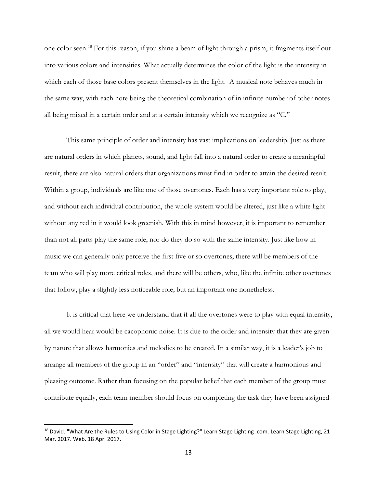one color seen. [18](#page-14-0) For this reason, if you shine a beam of light through a prism, it fragments itself out into various colors and intensities. What actually determines the color of the light is the intensity in which each of those base colors present themselves in the light. A musical note behaves much in the same way, with each note being the theoretical combination of in infinite number of other notes all being mixed in a certain order and at a certain intensity which we recognize as "C."

This same principle of order and intensity has vast implications on leadership. Just as there are natural orders in which planets, sound, and light fall into a natural order to create a meaningful result, there are also natural orders that organizations must find in order to attain the desired result. Within a group, individuals are like one of those overtones. Each has a very important role to play, and without each individual contribution, the whole system would be altered, just like a white light without any red in it would look greenish. With this in mind however, it is important to remember than not all parts play the same role, nor do they do so with the same intensity. Just like how in music we can generally only perceive the first five or so overtones, there will be members of the team who will play more critical roles, and there will be others, who, like the infinite other overtones that follow, play a slightly less noticeable role; but an important one nonetheless.

<span id="page-13-0"></span>It is critical that here we understand that if all the overtones were to play with equal intensity, all we would hear would be cacophonic noise. It is due to the order and intensity that they are given by nature that allows harmonies and melodies to be created. In a similar way, it is a leader's job to arrange all members of the group in an "order" and "intensity" that will create a harmonious and pleasing outcome. Rather than focusing on the popular belief that each member of the group must contribute equally, each team member should focus on completing the task they have been assigned

<span id="page-13-4"></span><span id="page-13-3"></span><span id="page-13-2"></span><span id="page-13-1"></span><sup>&</sup>lt;sup>18</sup> David. "What Are the Rules to Using Color in Stage Lighting?" Learn Stage Lighting .com. Learn Stage Lighting, 21 Mar. 2017. Web. 18 Apr. 2017.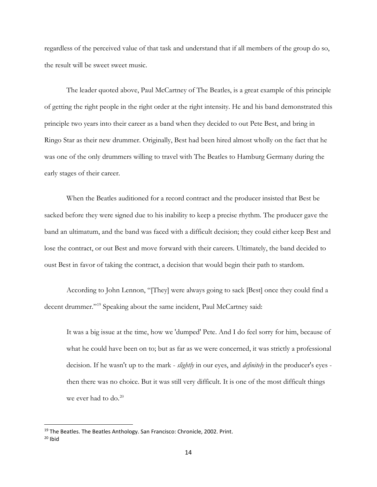regardless of the perceived value of that task and understand that if all members of the group do so, the result will be sweet sweet music.

The leader quoted above, Paul McCartney of The Beatles, is a great example of this principle of getting the right people in the right order at the right intensity. He and his band demonstrated this principle two years into their career as a band when they decided to out Pete Best, and bring in Ringo Star as their new drummer. Originally, Best had been hired almost wholly on the fact that he was one of the only drummers willing to travel with The Beatles to Hamburg Germany during the early stages of their career.

When the Beatles auditioned for a record contract and the producer insisted that Best be sacked before they were signed due to his inability to keep a precise rhythm. The producer gave the band an ultimatum, and the band was faced with a difficult decision; they could either keep Best and lose the contract, or out Best and move forward with their careers. Ultimately, the band decided to oust Best in favor of taking the contract, a decision that would begin their path to stardom.

According to John Lennon, "[They] were always going to sack [Best] once they could find a decent drummer."<sup>[19](#page-15-0)</sup> Speaking about the same incident, Paul McCartney said:

It was a big issue at the time, how we 'dumped' Pete. And I do feel sorry for him, because of what he could have been on to; but as far as we were concerned, it was strictly a professional decision. If he wasn't up to the mark - *slightly* in our eyes, and *definitely* in the producer's eyes then there was no choice. But it was still very difficult. It is one of the most difficult things we ever had to do.<sup>[20](#page-16-0)</sup>

<span id="page-14-0"></span><sup>&</sup>lt;sup>19</sup> The Beatles. The Beatles Anthology. San Francisco: Chronicle, 2002. Print.

 $20$  Ibid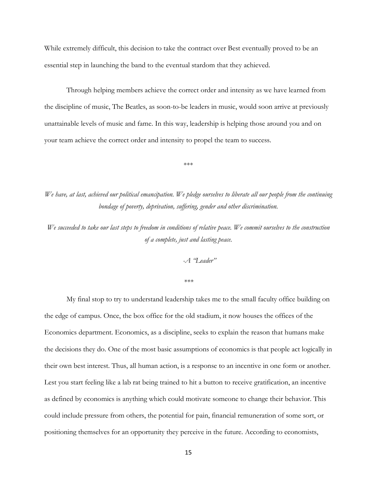While extremely difficult, this decision to take the contract over Best eventually proved to be an essential step in launching the band to the eventual stardom that they achieved.

Through helping members achieve the correct order and intensity as we have learned from the discipline of music, The Beatles, as soon-to-be leaders in music, would soon arrive at previously unattainable levels of music and fame. In this way, leadership is helping those around you and on your team achieve the correct order and intensity to propel the team to success.

\*\*\*

*We have, at last, achieved our political emancipation. We pledge ourselves to liberate all our people from the continuing bondage of poverty, deprivation, suffering, gender and other discrimination.*

*We succeeded to take our last steps to freedom in conditions of relative peace. We commit ourselves to the construction of a complete, just and lasting peace.*

*-A "Leader"*

*\*\*\**

<span id="page-15-0"></span>My final stop to try to understand leadership takes me to the small faculty office building on the edge of campus. Once, the box office for the old stadium, it now houses the offices of the Economics department. Economics, as a discipline, seeks to explain the reason that humans make the decisions they do. One of the most basic assumptions of economics is that people act logically in their own best interest. Thus, all human action, is a response to an incentive in one form or another. Lest you start feeling like a lab rat being trained to hit a button to receive gratification, an incentive as defined by economics is anything which could motivate someone to change their behavior. This could include pressure from others, the potential for pain, financial remuneration of some sort, or positioning themselves for an opportunity they perceive in the future. According to economists,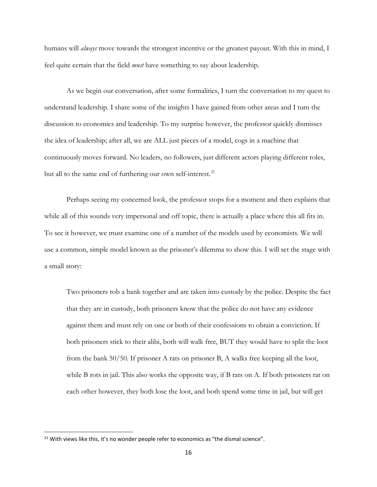humans will *always* move towards the strongest incentive or the greatest payout. With this in mind, I feel quite certain that the field *must* have something to say about leadership.

As we begin our conversation, after some formalities, I turn the conversation to my quest to understand leadership. I share some of the insights I have gained from other areas and I turn the discussion to economics and leadership. To my surprise however, the professor quickly dismisses the idea of leadership; after all, we are ALL just pieces of a model, cogs in a machine that continuously moves forward. No leaders, no followers, just different actors playing different roles, but all to the same end of furthering our own self-interest.<sup>[21](#page-17-0)</sup>

Perhaps seeing my concerned look, the professor stops for a moment and then explains that while all of this sounds very impersonal and off topic, there is actually a place where this all fits in. To see it however, we must examine one of a number of the models used by economists. We will use a common, simple model known as the prisoner's dilemma to show this. I will set the stage with a small story:

Two prisoners rob a bank together and are taken into custody by the police. Despite the fact that they are in custody, both prisoners know that the police do not have any evidence against them and must rely on one or both of their confessions to obtain a conviction. If both prisoners stick to their alibi, both will walk free, BUT they would have to split the loot from the bank 50/50. If prisoner A rats on prisoner B, A walks free keeping all the loot, while B rots in jail. This also works the opposite way, if B rats on A. If both prisoners rat on each other however, they both lose the loot, and both spend some time in jail, but will get

<span id="page-16-0"></span> $21$  With views like this, it's no wonder people refer to economics as "the dismal science".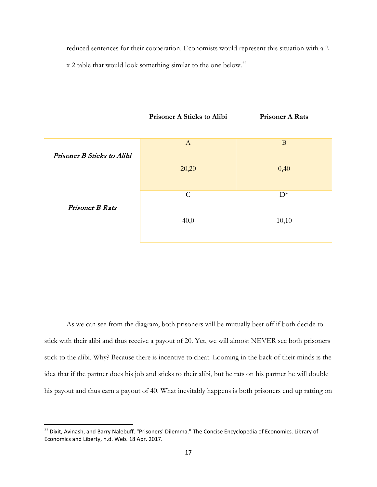reduced sentences for their cooperation. Economists would represent this situation with a 2 x 2 table that would look something similar to the one below.<sup>[22](#page-18-0)</sup>



As we can see from the diagram, both prisoners will be mutually best off if both decide to stick with their alibi and thus receive a payout of 20. Yet, we will almost NEVER see both prisoners stick to the alibi. Why? Because there is incentive to cheat. Looming in the back of their minds is the idea that if the partner does his job and sticks to their alibi, but he rats on his partner he will double his payout and thus earn a payout of 40. What inevitably happens is both prisoners end up ratting on

<span id="page-17-0"></span><sup>&</sup>lt;sup>22</sup> Dixit, Avinash, and Barry Nalebuff. "Prisoners' Dilemma." The Concise Encyclopedia of Economics. Library of Economics and Liberty, n.d. Web. 18 Apr. 2017.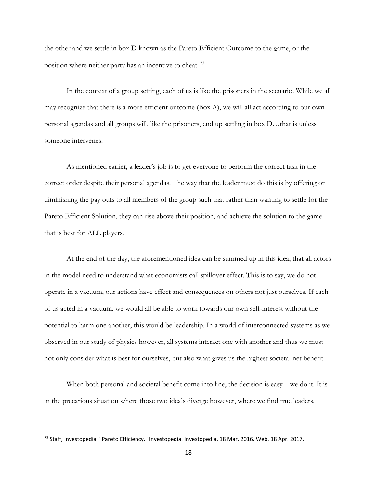the other and we settle in box D known as the Pareto Efficient Outcome to the game, or the position where neither party has an incentive to cheat. [23](#page-19-0)

In the context of a group setting, each of us is like the prisoners in the scenario. While we all may recognize that there is a more efficient outcome (Box A), we will all act according to our own personal agendas and all groups will, like the prisoners, end up settling in box D…that is unless someone intervenes.

As mentioned earlier, a leader's job is to get everyone to perform the correct task in the correct order despite their personal agendas. The way that the leader must do this is by offering or diminishing the pay outs to all members of the group such that rather than wanting to settle for the Pareto Efficient Solution, they can rise above their position, and achieve the solution to the game that is best for ALL players.

At the end of the day, the aforementioned idea can be summed up in this idea, that all actors in the model need to understand what economists call spillover effect. This is to say, we do not operate in a vacuum, our actions have effect and consequences on others not just ourselves. If each of us acted in a vacuum, we would all be able to work towards our own self-interest without the potential to harm one another, this would be leadership. In a world of interconnected systems as we observed in our study of physics however, all systems interact one with another and thus we must not only consider what is best for ourselves, but also what gives us the highest societal net benefit.

When both personal and societal benefit come into line, the decision is easy – we do it. It is in the precarious situation where those two ideals diverge however, where we find true leaders.

<span id="page-18-0"></span><sup>&</sup>lt;sup>23</sup> Staff, Investopedia. "Pareto Efficiency." Investopedia. Investopedia, 18 Mar. 2016. Web. 18 Apr. 2017.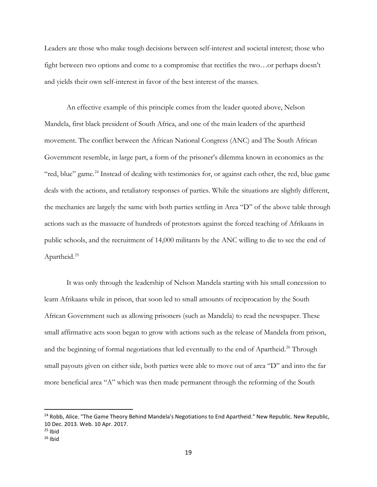Leaders are those who make tough decisions between self-interest and societal interest; those who fight between two options and come to a compromise that rectifies the two…or perhaps doesn't and yields their own self-interest in favor of the best interest of the masses.

An effective example of this principle comes from the leader quoted above, Nelson Mandela, first black president of South Africa, and one of the main leaders of the apartheid movement. The conflict between the African National Congress (ANC) and The South African Government resemble, in large part, a form of the prisoner's dilemma known in economics as the "red, blue" game. $^{24}$  $^{24}$  $^{24}$  Instead of dealing with testimonies for, or against each other, the red, blue game deals with the actions, and retaliatory responses of parties. While the situations are slightly different, the mechanics are largely the same with both parties settling in Area "D" of the above table through actions such as the massacre of hundreds of protestors against the forced teaching of Afrikaans in public schools, and the recruitment of 14,000 militants by the ANC willing to die to see the end of Apartheid.<sup>[25](#page-20-1)</sup>

It was only through the leadership of Nelson Mandela starting with his small concession to learn Afrikaans while in prison, that soon led to small amounts of reciprocation by the South African Government such as allowing prisoners (such as Mandela) to read the newspaper. These small affirmative acts soon began to grow with actions such as the release of Mandela from prison, and the beginning of formal negotiations that led eventually to the end of Apartheid.<sup>[26](#page-21-0)</sup> Through small payouts given on either side, both parties were able to move out of area "D" and into the far more beneficial area "A" which was then made permanent through the reforming of the South

<sup>&</sup>lt;sup>24</sup> Robb, Alice. "The Game Theory Behind Mandela's Negotiations to End Apartheid." New Republic. New Republic, 10 Dec. 2013. Web. 10 Apr. 2017.

 $25$  Ibid

<span id="page-19-0"></span> $26$  Ibid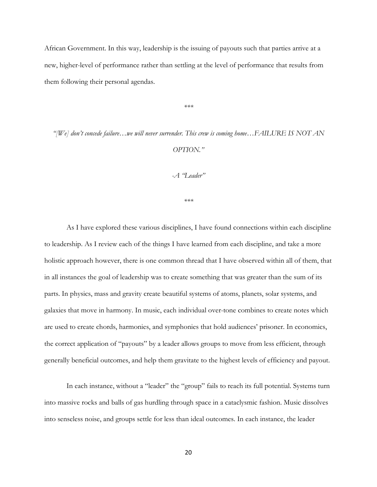African Government. In this way, leadership is the issuing of payouts such that parties arrive at a new, higher-level of performance rather than settling at the level of performance that results from them following their personal agendas.

*\*\*\**

*"[We] don't concede failure…we will never surrender. This crew is coming home…FAILURE IS NOT AN* 

*OPTION."*

*-A "Leader"*

*\*\*\**

As I have explored these various disciplines, I have found connections within each discipline to leadership. As I review each of the things I have learned from each discipline, and take a more holistic approach however, there is one common thread that I have observed within all of them, that in all instances the goal of leadership was to create something that was greater than the sum of its parts. In physics, mass and gravity create beautiful systems of atoms, planets, solar systems, and galaxies that move in harmony. In music, each individual over-tone combines to create notes which are used to create chords, harmonies, and symphonies that hold audiences' prisoner. In economics, the correct application of "payouts" by a leader allows groups to move from less efficient, through generally beneficial outcomes, and help them gravitate to the highest levels of efficiency and payout.

<span id="page-20-1"></span><span id="page-20-0"></span>In each instance, without a "leader" the "group" fails to reach its full potential. Systems turn into massive rocks and balls of gas hurdling through space in a cataclysmic fashion. Music dissolves into senseless noise, and groups settle for less than ideal outcomes. In each instance, the leader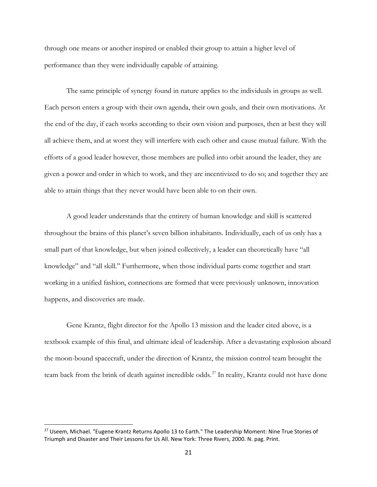through one means or another inspired or enabled their group to attain a higher level of performance than they were individually capable of attaining.

The same principle of synergy found in nature applies to the individuals in groups as well. Each person enters a group with their own agenda, their own goals, and their own motivations. At the end of the day, if each works according to their own vision and purposes, then at best they will all achieve them, and at worst they will interfere with each other and cause mutual failure. With the efforts of a good leader however, those members are pulled into orbit around the leader, they are given a power and order in which to work, and they are incentivized to do so; and together they are able to attain things that they never would have been able to on their own.

A good leader understands that the entirety of human knowledge and skill is scattered throughout the brains of this planet's seven billion inhabitants. Individually, each of us only has a small part of that knowledge, but when joined collectively, a leader can theoretically have "all knowledge" and "all skill." Furthermore, when those individual parts come together and start working in a unified fashion, connections are formed that were previously unknown, innovation happens, and discoveries are made.

Gene Krantz, flight director for the Apollo 13 mission and the leader cited above, is a textbook example of this final, and ultimate ideal of leadership. After a devastating explosion aboard the moon-bound spacecraft, under the direction of Krantz, the mission control team brought the team back from the brink of death against incredible odds.<sup>[27](#page-23-0)</sup> In reality, Krantz could not have done

<span id="page-21-0"></span><sup>&</sup>lt;sup>27</sup> Useem, Michael. "Eugene Krantz Returns Apollo 13 to Earth." The Leadership Moment: Nine True Stories of Triumph and Disaster and Their Lessons for Us All. New York: Three Rivers, 2000. N. pag. Print.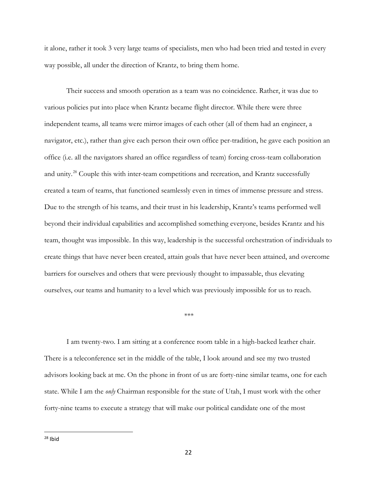it alone, rather it took 3 very large teams of specialists, men who had been tried and tested in every way possible, all under the direction of Krantz, to bring them home.

Their success and smooth operation as a team was no coincidence. Rather, it was due to various policies put into place when Krantz became flight director. While there were three independent teams, all teams were mirror images of each other (all of them had an engineer, a navigator, etc.), rather than give each person their own office per-tradition, he gave each position an office (i.e. all the navigators shared an office regardless of team) forcing cross-team collaboration and unity.<sup>[28](#page-23-1)</sup> Couple this with inter-team competitions and recreation, and Krantz successfully created a team of teams, that functioned seamlessly even in times of immense pressure and stress. Due to the strength of his teams, and their trust in his leadership, Krantz's teams performed well beyond their individual capabilities and accomplished something everyone, besides Krantz and his team, thought was impossible. In this way, leadership is the successful orchestration of individuals to create things that have never been created, attain goals that have never been attained, and overcome barriers for ourselves and others that were previously thought to impassable, thus elevating ourselves, our teams and humanity to a level which was previously impossible for us to reach.

*\*\*\**

I am twenty-two. I am sitting at a conference room table in a high-backed leather chair. There is a teleconference set in the middle of the table, I look around and see my two trusted advisors looking back at me. On the phone in front of us are forty-nine similar teams, one for each state. While I am the *only* Chairman responsible for the state of Utah, I must work with the other forty-nine teams to execute a strategy that will make our political candidate one of the most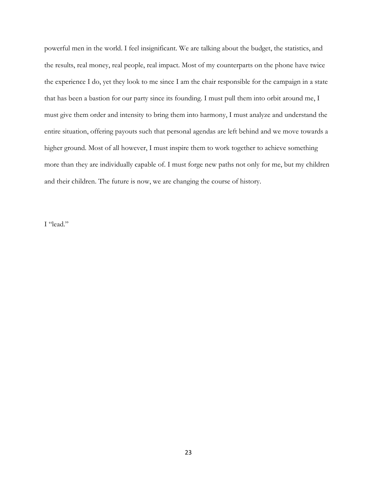powerful men in the world. I feel insignificant. We are talking about the budget, the statistics, and the results, real money, real people, real impact. Most of my counterparts on the phone have twice the experience I do, yet they look to me since I am the chair responsible for the campaign in a state that has been a bastion for our party since its founding. I must pull them into orbit around me, I must give them order and intensity to bring them into harmony, I must analyze and understand the entire situation, offering payouts such that personal agendas are left behind and we move towards a higher ground. Most of all however, I must inspire them to work together to achieve something more than they are individually capable of. I must forge new paths not only for me, but my children and their children. The future is now, we are changing the course of history.

<span id="page-23-1"></span><span id="page-23-0"></span>I "lead."